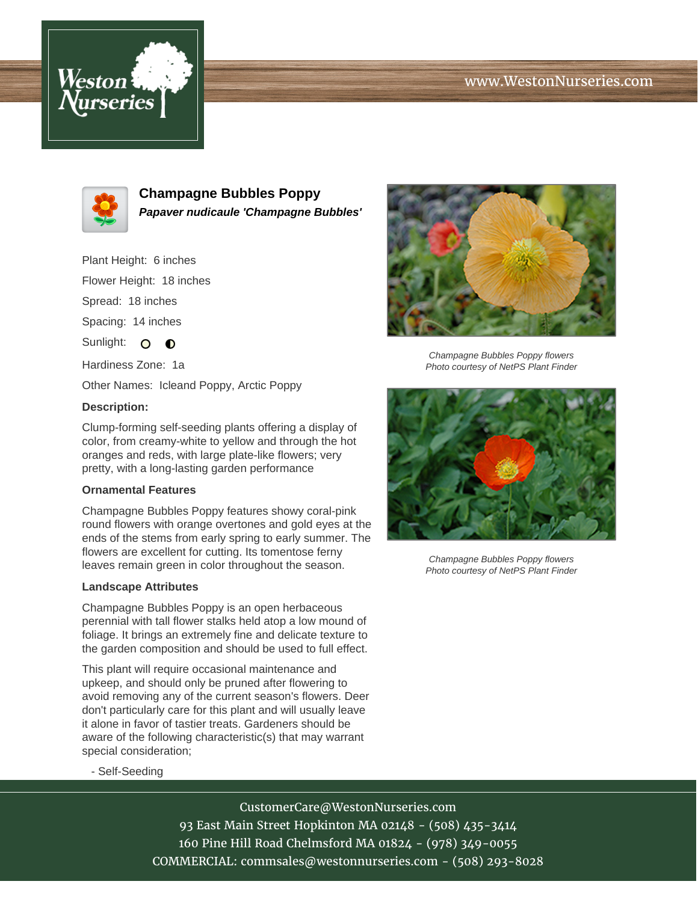# www.WestonNurseries.com





**Champagne Bubbles Poppy Papaver nudicaule 'Champagne Bubbles'**

Plant Height: 6 inches Flower Height: 18 inches Spread: 18 inches Spacing: 14 inches Sunlight: O **O** Hardiness Zone: 1a

Other Names: Icleand Poppy, Arctic Poppy

## **Description:**

Clump-forming self-seeding plants offering a display of color, from creamy-white to yellow and through the hot oranges and reds, with large plate-like flowers; very pretty, with a long-lasting garden performance

#### **Ornamental Features**

Champagne Bubbles Poppy features showy coral-pink round flowers with orange overtones and gold eyes at the ends of the stems from early spring to early summer. The flowers are excellent for cutting. Its tomentose ferny leaves remain green in color throughout the season.

#### **Landscape Attributes**

Champagne Bubbles Poppy is an open herbaceous perennial with tall flower stalks held atop a low mound of foliage. It brings an extremely fine and delicate texture to the garden composition and should be used to full effect.

This plant will require occasional maintenance and upkeep, and should only be pruned after flowering to avoid removing any of the current season's flowers. Deer don't particularly care for this plant and will usually leave it alone in favor of tastier treats. Gardeners should be aware of the following characteristic(s) that may warrant special consideration;



Champagne Bubbles Poppy flowers Photo courtesy of NetPS Plant Finder



Champagne Bubbles Poppy flowers Photo courtesy of NetPS Plant Finder

- Self-Seeding

CustomerCare@WestonNurseries.com 93 East Main Street Hopkinton MA 02148 - (508) 435-3414 160 Pine Hill Road Chelmsford MA 01824 - (978) 349-0055 COMMERCIAL: commsales@westonnurseries.com - (508) 293-8028